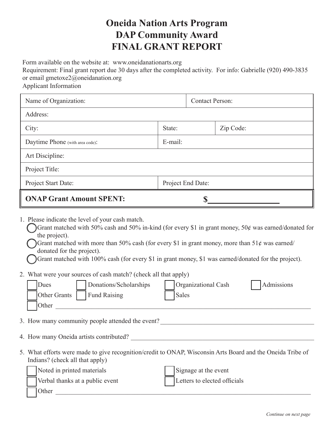## **Oneida Nation Arts Program DAP Community Award FINAL GRANT REPORT**

Form available on the website at: www.oneidanationarts.org

Requirement: Final grant report due 30 days after the completed activity. For info: Gabrielle (920) 490-3835 or email gmetoxe2@oneidanation.org

Applicant Information

| Name of Organization:                            | <b>Contact Person:</b> |  |           |
|--------------------------------------------------|------------------------|--|-----------|
| Address:                                         |                        |  |           |
| City:                                            | State:                 |  | Zip Code: |
| Daytime Phone (with area code):                  | E-mail:                |  |           |
| Art Discipline:                                  |                        |  |           |
| Project Title:                                   |                        |  |           |
| Project End Date:<br>Project Start Date:         |                        |  |           |
| <b>ONAP Grant Amount SPENT:</b>                  |                        |  |           |
| 1. Please indicate the level of your cash match. |                        |  |           |

- Grant matched with 50% cash and 50% in-kind (for every \$1 in grant money, 50 $\ell$  was earned/donated for the project).
- Grant matched with more than 50% cash (for every \$1 in grant money, more than 51¢ was earned/ donated for the project).
- Grant matched with 100% cash (for every \$1 in grant money, \$1 was earned/donated for the project).
- 2. What were your sources of cash match? (check all that apply)

|  | Dues                | Donations/Scholarships | Organizational Cash | Admissions |
|--|---------------------|------------------------|---------------------|------------|
|  | <b>Other Grants</b> | <b>Fund Raising</b>    | Sales               |            |
|  | <b>Other</b>        |                        |                     |            |

3. How many community people attended the event?

4. How many Oneida artists contributed?

5. What efforts were made to give recognition/credit to ONAP, Wisconsin Arts Board and the Oneida Tribe of Indians? (check all that apply)

| Noted in printed materials      | Signage at the event         |
|---------------------------------|------------------------------|
| Verbal thanks at a public event | Letters to elected officials |
| Other                           |                              |